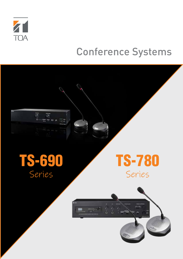

# Conference Systems

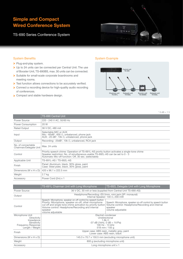## Simple and Compact Wired Conference System

TS-690 Series Conference System



#### System Benefits

- > Plug-and-play system.
- ▶ Up to 24 units can be connected per Central Unit. The use of Booster Unit, TS-690BS, max. 30 units can be connected.
- > Suitable for small-scale corporate boardrooms and meeting rooms.
- Test function allows connections to be accurately verified.
- > Connect a recording device for high-quality audio recording of conferences.
- **Compact and stable hardware design.**

## System Example



 $*$  0 dB = 1 V

|                                              | <b>TS-690 Central Unit</b>                                                                                                                                                                                                             |
|----------------------------------------------|----------------------------------------------------------------------------------------------------------------------------------------------------------------------------------------------------------------------------------------|
| Power Source                                 | 220 - 240 V AC, 50/60 Hz                                                                                                                                                                                                               |
| Power Consumption                            | 20 W                                                                                                                                                                                                                                   |
| <b>Rated Output</b>                          | 36 V DC, 480 mA                                                                                                                                                                                                                        |
| Input                                        | Selectable MIC or AUX<br>Mic: -60dB*, 600 $\Omega$ , unbalanced, phone jack<br>AUX: -20 dB <sup>*</sup> , 10k $\Omega$ , unbalanced, phone jack                                                                                        |
| Output                                       | Recording: -20dB*, 10k $\Omega$ , unbalanced, RCA jack                                                                                                                                                                                 |
| No. of connectable<br>Chairman/Delegate Unit | Max. 24 units                                                                                                                                                                                                                          |
| Control                                      | Priority speech chime: Operation of TS-691L-AS prority button activates a single-tone chime<br>Speaker restriction: No. of simultaneous-usable TS-692L-AS can be set to 0 - 3<br>Automatic Mic-off function: Off, 30 sec. (selectable) |
| Applicable Unit                              | TS-691L-AS / TS-692L-AS                                                                                                                                                                                                                |
| Finish                                       | Panel: Aluminum, black, 30% gloss, paint<br>Case: Steel plate, black, 30% gloss, paint                                                                                                                                                 |
| Dimensions (W $\times$ H $\times$ D)         | 420 x 96.1 x 222.5 mm                                                                                                                                                                                                                  |
| Weight                                       | 2.7 kg                                                                                                                                                                                                                                 |
| Accessory                                    | Power Cord (2m) x 1                                                                                                                                                                                                                    |

|                                      | TS-691L Chairman Unit with Long Microphone                                                                                                                                                                                                                               | TS-692L Delegate Unit with Long Microphone                                                                                                      |  |
|--------------------------------------|--------------------------------------------------------------------------------------------------------------------------------------------------------------------------------------------------------------------------------------------------------------------------|-------------------------------------------------------------------------------------------------------------------------------------------------|--|
| Power Source                         | 36 V DC, 30 mA or less (supplied from Central Unit TS-690-AS)                                                                                                                                                                                                            |                                                                                                                                                 |  |
| Output                               | Headphone/Recording: Ø3.5mm, mini jack (3P: monaural)<br>Internal Speaker: 130 $\Omega$ , 200 mW                                                                                                                                                                         |                                                                                                                                                 |  |
| Control                              | Speech: Microphone, speaker on-off control by speech button<br>Priority: Microphone, speaker on-off, other microphone<br>cut off and single-tone chime activation by priority button<br>Volume control: Headphone/Recording and internal<br>speaker<br>volume adjustable | Speech: Microphone, speaker on-off control by speech button<br>Volume control: Headphone/Recording and internal<br>speaker<br>volume adjustable |  |
| Microphone Unit                      | Electret condenser                                                                                                                                                                                                                                                       |                                                                                                                                                 |  |
| Directivity<br>Impedance             | Unidirectional<br>$1.8k$ $\Omega$                                                                                                                                                                                                                                        |                                                                                                                                                 |  |
| Sensitivity                          | $-37$ dB (1kHz, 0 dB = 1V/Pa)                                                                                                                                                                                                                                            |                                                                                                                                                 |  |
| <b>Frequency Response</b>            | 100 Hz - 13 kHz                                                                                                                                                                                                                                                          |                                                                                                                                                 |  |
| Length / Weight                      | $518$ mm / 105 g                                                                                                                                                                                                                                                         |                                                                                                                                                 |  |
| Finish                               | Upper case: ABS resin, metallic grey, paint<br>Lower case: ABS resin, black                                                                                                                                                                                              |                                                                                                                                                 |  |
| Dimensions (W $\times$ H $\times$ D) | 145.3 x 70.7 x 150.5 mm (excluding microphone unit)                                                                                                                                                                                                                      |                                                                                                                                                 |  |
| Weight                               | 800 g (excluding microphone unit)                                                                                                                                                                                                                                        |                                                                                                                                                 |  |
| Accessory                            | Long microphone unit x 1                                                                                                                                                                                                                                                 |                                                                                                                                                 |  |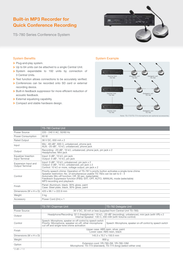## Built-in MP3 Recorder for Quick Conference Recording

TS-780 Series Conference System



## System Benefits

- > Plug-and-play system.
- ▶ Up to 64 units can be attached to a single Central Unit.
- System expandable to 192 units by connection of 3 Central Units.
- > Test function allows connections to be accurately verified.
- Conferences can be recorded onto SD card or external recording device.
- > Built-in feedback suppressor for more efficient reduction of acoustic feedback.
- External equalizing capability.
- > Compact and stable hardware design.

## System Example



Note: TS-773/TS-774 microphone are optional accessory

|                                               | TS-780 Central Unit                                                                                                                                                                                                                                                                                                                             |
|-----------------------------------------------|-------------------------------------------------------------------------------------------------------------------------------------------------------------------------------------------------------------------------------------------------------------------------------------------------------------------------------------------------|
| Power Source                                  | 220 - 240 V AC, 50/60 Hz                                                                                                                                                                                                                                                                                                                        |
| Power Consumption                             | 60 W                                                                                                                                                                                                                                                                                                                                            |
| <b>Rated Output</b>                           | 36 V DC, 650 mA x 2                                                                                                                                                                                                                                                                                                                             |
| Input                                         | Mic: -60 dB <sup>*</sup> , 600 $\Omega$ , unbalanced, phone jack<br>AUX: -20 $dB^*$ , 10 k $\Omega$ , unbalanced, phone jack                                                                                                                                                                                                                    |
| Output                                        | Recording: -20 dB*, 10 k $\Omega$ , unbalanced, phone jack, pin jack x 2<br>Headphones: Mini jack                                                                                                                                                                                                                                               |
| Equalizer Insertion<br>Input Terminal         | Input: 0 dB*, 10 k $\Omega$ , pin jack<br>Output: $0 dB^*$ , 10 k $\Omega$ , pin jack                                                                                                                                                                                                                                                           |
| Expansion Input and<br><b>Output Terminal</b> | Input: 0 dB <sup>*</sup> , 10 k $\Omega$ , unbalanced, pin jack x 2<br>Output: 0 dB <sup>*</sup> , 10 k $\Omega$ , unbalanced, pin jack x 2<br>Control: 10 k $\Omega$ or more, voltage output, pin jack x 2                                                                                                                                     |
| Control                                       | Priority speech chime: Operation of TS-781's prority button activates a single-tone chime<br>Speaker restriction: No. of simultaneous-usable TS-782s can be set to 0 - 4<br>Automatic Mic-off function: Off, 30 sec. (selectable)<br>Feedback Suppressor function (FBS): EXT, OFF, AUTO, MANUAL mode (selectable)<br>MP3 recording and playback |
| Finish                                        | Panel: Aluminum, black, 30% gloss, paint<br>Case: Steel plate, black, 30% gloss, paint                                                                                                                                                                                                                                                          |
| Dimensions (W $\times$ H $\times$ D)          | 420 x 96.1 x 222.6 mm                                                                                                                                                                                                                                                                                                                           |
| Weight                                        | 3 kg                                                                                                                                                                                                                                                                                                                                            |
| Accessory                                     | Power Cord (2m) x 1                                                                                                                                                                                                                                                                                                                             |

|                                      | TS-781 Chairman Unit                                                                                                                                                                     | TS-782 Delegate Unit                                        |  |
|--------------------------------------|------------------------------------------------------------------------------------------------------------------------------------------------------------------------------------------|-------------------------------------------------------------|--|
| Power Source                         | 36 V DC, 30 mA or less (supplied from Central Unit TS-780)                                                                                                                               |                                                             |  |
| Output                               | Headphone/Recording: $32 \Omega$ (headphone) / 10 k $\Omega$ , -20 dB* (recording), unbalanced, mini jack (with VR) x 2<br>Internal Speaker: 130 $\Omega$ , 200 mW (with Volume control) |                                                             |  |
| Control                              | Speech: Microphone, speaker on-off control by speech switch<br>Priority: Microphone, speaker on-off, other microphone<br>cut off and single-tone chime activation                        | Speech: Microphone, speaker on-off control by speech switch |  |
| Finish                               | Upper case: ABS resin, silver, paint<br>Lower case: ABS resin, black                                                                                                                     |                                                             |  |
| Dimensions (W $\times$ H $\times$ D) | 145.3 x 70.7 x 150.5 mm                                                                                                                                                                  |                                                             |  |
| Weight                               | 800q                                                                                                                                                                                     |                                                             |  |
| Option                               | Extension cord: YR-780-2M, YR-780-10M<br>Microphone: TS-773 (standard), TS-774 (long) (select either one)                                                                                |                                                             |  |